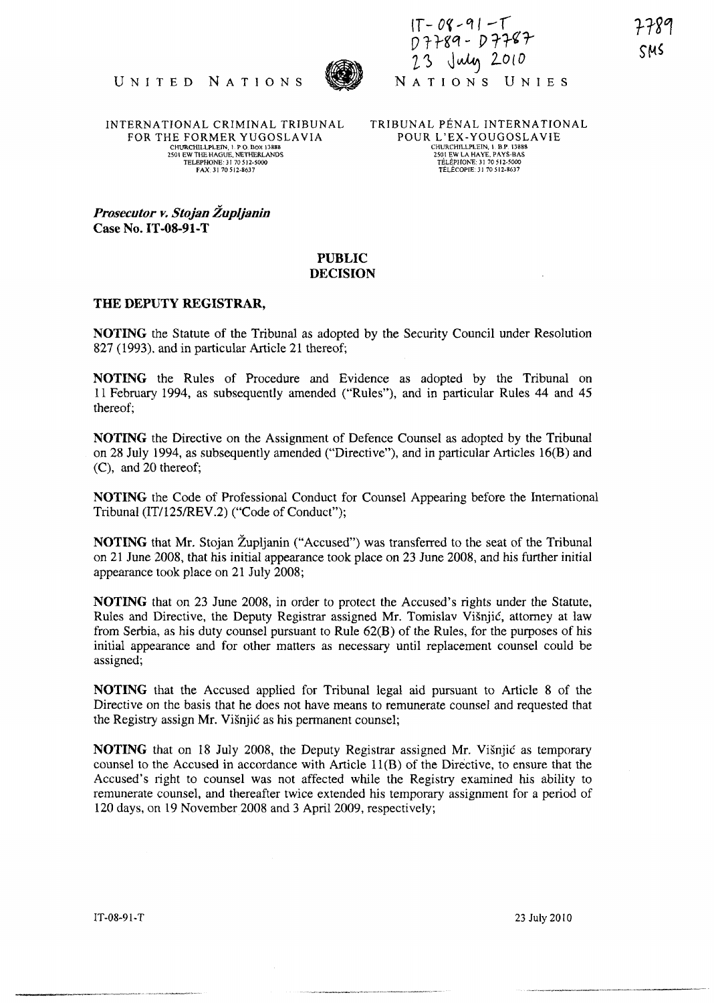

 $IT-08 - 91 - T$ o *T* }gq - J) 11-~r UNITED NATIONS 197781-19778 23 July 2010<br>NATIONS UNIES

INTERNA TIONAL CRIMINAL TRIBUNAL FOR THE FORMER YUGOSLAVIA CHURCHILLPLElN, LP O. Box 13888 2501 EW THE HAGUE, NETHERLANDS TELEPHONE· 3170512.5000 FAX 3170512·8637

TRIBUNAL PENAL INTERNATIONAL POUR L'EX-YOUGOSLAVIE CHURCHILLPLEIN, 1. B.P. 13888<br>2501 EW LA HAYE, PAYS-BAS<br>TÉLÉPHONE: 31 70 512-5000<br>TÉLÉCOPIE: 31 70 512-8637

Prosecutor v. Stojan Župljanin Case No. **IT -08-91-T** 

## **PUBLIC DECISION**

## **THE DEPUTY REGISTRAR,**

**NOTING** the Statute of the Tribunal as adopted by the Security Council under Resolution 827 (1993). and in particular Article 21 thereof;

**NOTING** the Rules of Procedure and Evidence as adopted by the Tribunal on 11 February 1994, as subsequently amended ("Rules"), and in particular Rules 44 and 45 thereof;

**NOTING** the Directive on the Assignment of Defence Counsel as adopted by the Tribunal on 28 July 1994, as subsequently amended ("Directive"), and in particular Articles 16(B) and (C), and 20 thereof;

**NOTING** the Code of Professional Conduct for Counsel Appearing before the International Tribunal (lT/125/REV.2) ("Code of Conduct");

**NOTING** that Mr. Stojan Župljanin ("Accused") was transferred to the seat of the Tribunal on 21 June 2008, that his initial appearance took place on 23 June 2008, and his further initial appearance took place on 21 July 2008;

**NOTING** that on 23 June 2008, in order to protect the Accused's rights under the Statute, Rules and Directive, the Deputy Registrar assigned Mr. Tomislav Visnjic, attorney at law from Serbia, as his duty counsel pursuant to Rule 62(B) of the Rules, for the purposes of his initial appearance and for other matters as necessary until replacement counsel could be assigned;

**NOTING** that the Accused applied for Tribunal legal aid pursuant to Article 8 of the Directive on the basis that he does not have means to remunerate counsel and requested that the Registry assign Mr. Visnjic as his permanent counsel;

**NOTING** that on 18 July 2008, the Deputy Registrar assigned Mr. Visnjic as temporary counsel to the Accused in accordance with Article l1(B) of the Directive, to ensure that the Accused's right to counsel was not affected while the Registry examined his ability to remunerate counsel, and thereafter twice extended his temporary assignment for a period of 120 days, on 19 November 2008 and 3 April 2009, respectively;

IT-08-91-T 23 July 2010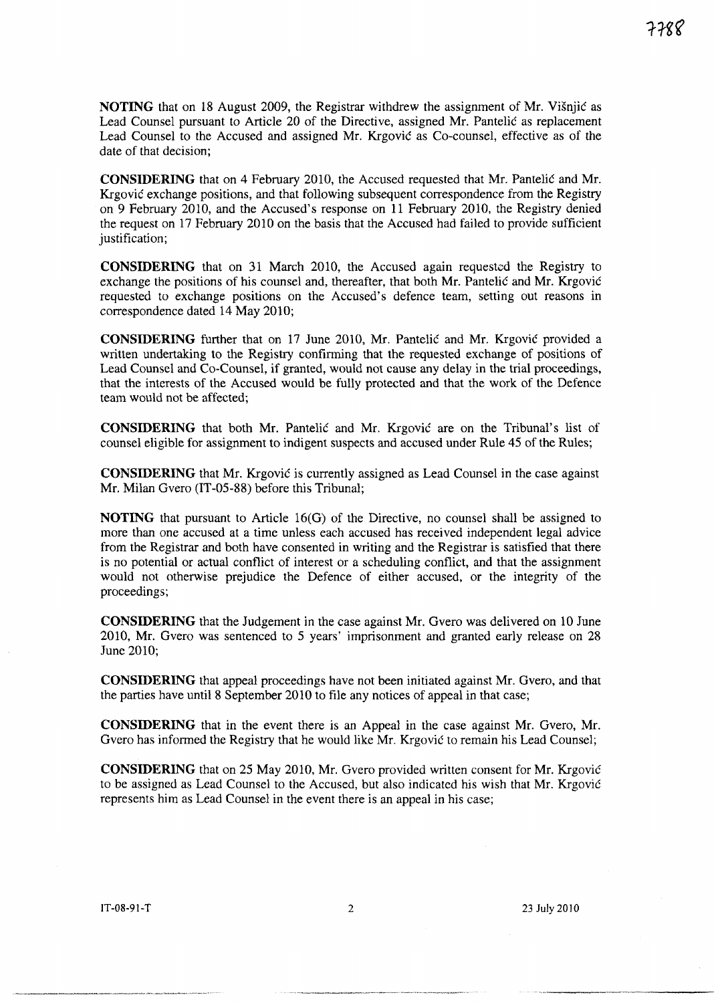**NOTING** that on 18 August 2009, the Registrar withdrew the assignment of Mr. Visnjic as Lead Counsel pursuant to Article 20 of the Directive, assigned Mr. Pantelic as replacement Lead Counsel to the Accused and assigned Mr. Krgovic as Co-counsel, effective as of the date of that decision;

**CONSIDERING** that on 4 February 2010, the Accused requested that Mr. Pantelic and Mr. Krgovic exchange positions, and that following subsequent correspondence from the Registry on 9 February 2010, and the Accused's response on 11 February 2010, the Registry denied the request on 17 February 2010 on the basis that the Accused had failed to provide sufficient justification;

**CONSIDERING** that on 31 March 2010, the Accused again requested the Registry to exchange the positions of his counsel and, thereafter, that both Mr. Pantelic and Mr. Krgovic requested to exchange positions on the Accused's defence team, setting out reasons in correspondence dated 14 May 2010;

**CONSIDERING** further that on 17 June 2010, Mr. Pantelic and Mr. Krgovic provided a written undertaking to the Registry confirming that the requested exchange of positions of Lead Counsel and Co-Counsel, if granted, would not cause any delay in the trial proceedings, that the interests of the Accused would be fully protected and that the work of the Defence team would not be affected;

**CONSIDERING** that both Mr. Pantelic and Mr. Krgovic are on the Tribunal's list of counsel eligible for assignment to indigent suspects and accused under Rule 45 of the Rules;

**CONSIDERING** that Mr. Krgovic is currently assigned as Lead Counsel in the case against Mr. Milan Gvero (IT -05-88) before this Tribunal;

**NOTING** that pursuant to Article 16(G) of the Directive, no counsel shall be assigned to more than one accused at a time unless each accused has received independent legal advice from the Registrar and both have consented in writing and the Registrar is satisfied that there is no potential or actual conflict of interest or a scheduling conflict, and that the assignment would not otherwise prejudice the Defence of either accused, or the integrity of the proceedings;

**CONSIDERING** that the Judgement in the case against Mr. Gvero was delivered on 10 June 2010, Mr. Gvero was sentenced to 5 years' imprisonment and granted early release on 28 June 2010;

**CONSIDERING** that appeal proceedings have not been initiated against Mr. Gvero, and that the parties have until 8 September 2010 to file any notices of appeal in that case;

**CONSIDERING** that in the event there is an Appeal in the case against Mr. Gvero, Mr. Gvero has informed the Registry that he would like Mr. Krgovic to remain his Lead Counsel;

**CONSIDERING** that on 25 May 2010, Mr. Gvero provided written consent for Mr. Krgovic to be assigned as Lead Counsel to the Accused, but also indicated his wish that Mr. Krgovic represents him as Lead Counsel in the event there is an appeal in his case;